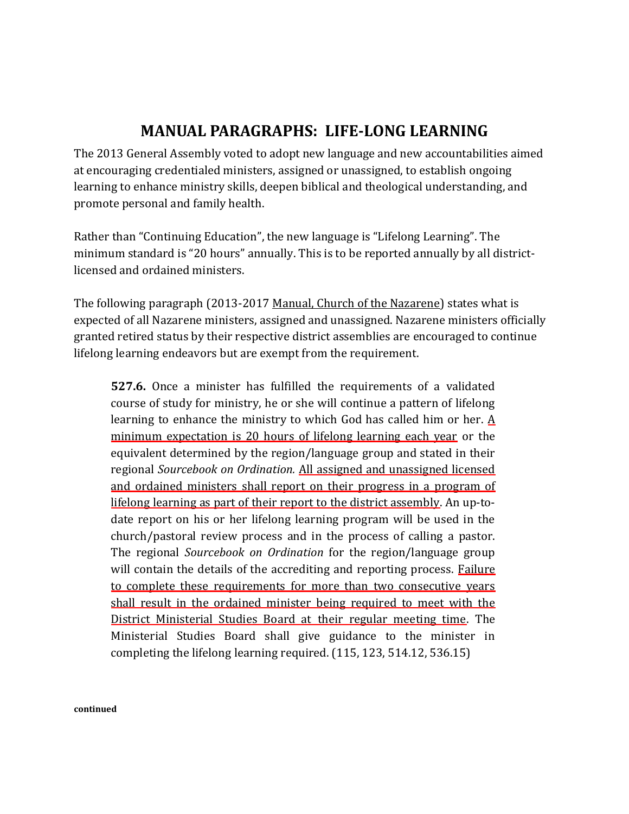## **MANUAL PARAGRAPHS: LIFE-LONG LEARNING**

The 2013 General Assembly voted to adopt new language and new accountabilities aimed at encouraging credentialed ministers, assigned or unassigned, to establish ongoing learning to enhance ministry skills, deepen biblical and theological understanding, and promote personal and family health.

Rather than "Continuing Education", the new language is "Lifelong Learning". The minimum standard is "20 hours" annually. This is to be reported annually by all districtlicensed and ordained ministers.

The following paragraph (2013-2017 Manual, Church of the Nazarene) states what is expected of all Nazarene ministers, assigned and unassigned. Nazarene ministers officially granted retired status by their respective district assemblies are encouraged to continue lifelong learning endeavors but are exempt from the requirement.

**527.6.** Once a minister has fulfilled the requirements of a validated course of study for ministry, he or she will continue a pattern of lifelong learning to enhance the ministry to which God has called him or her.  $\underline{A}$ minimum expectation is 20 hours of lifelong learning each year or the equivalent determined by the region/language group and stated in their regional *Sourcebook on Ordination.* All assigned and unassigned licensed and ordained ministers shall report on their progress in a program of lifelong learning as part of their report to the district assembly. An up-todate report on his or her lifelong learning program will be used in the church/pastoral review process and in the process of calling a pastor. The regional *Sourcebook on Ordination* for the region/language group will contain the details of the accrediting and reporting process. Failure to complete these requirements for more than two consecutive years shall result in the ordained minister being required to meet with the District Ministerial Studies Board at their regular meeting time. The Ministerial Studies Board shall give guidance to the minister in completing the lifelong learning required. (115, 123, 514.12, 536.15)

**continued**